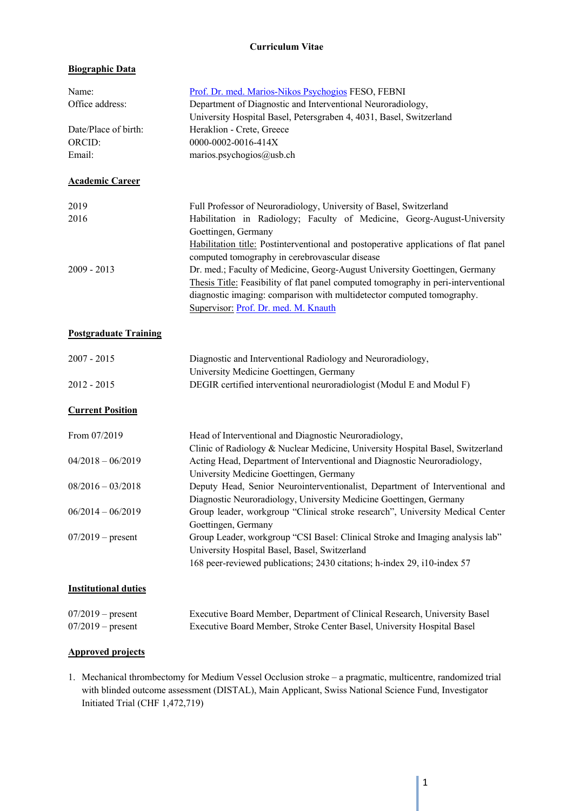#### **Curriculum Vitae**

# **Biographic Data**

| Name:                          | Prof. Dr. med. Marios-Nikos Psychogios FESO, FEBNI                                  |
|--------------------------------|-------------------------------------------------------------------------------------|
| Office address:                | Department of Diagnostic and Interventional Neuroradiology,                         |
|                                | University Hospital Basel, Petersgraben 4, 4031, Basel, Switzerland                 |
| Date/Place of birth:<br>ORCID: | Heraklion - Crete, Greece<br>0000-0002-0016-414X                                    |
|                                |                                                                                     |
| Email:                         | marios.psychogios@usb.ch                                                            |
| <b>Academic Career</b>         |                                                                                     |
| 2019                           | Full Professor of Neuroradiology, University of Basel, Switzerland                  |
| 2016                           | Habilitation in Radiology; Faculty of Medicine, Georg-August-University             |
|                                | Goettingen, Germany                                                                 |
|                                | Habilitation title: Postinterventional and postoperative applications of flat panel |
|                                | computed tomography in cerebrovascular disease                                      |
| 2009 - 2013                    | Dr. med.; Faculty of Medicine, Georg-August University Goettingen, Germany          |
|                                | Thesis Title: Feasibility of flat panel computed tomography in peri-interventional  |
|                                | diagnostic imaging: comparison with multidetector computed tomography.              |
|                                | Supervisor: Prof. Dr. med. M. Knauth                                                |
|                                |                                                                                     |
| <b>Postgraduate Training</b>   |                                                                                     |
| $2007 - 2015$                  | Diagnostic and Interventional Radiology and Neuroradiology,                         |
|                                | University Medicine Goettingen, Germany                                             |
| 2012 - 2015                    | DEGIR certified interventional neuroradiologist (Modul E and Modul F)               |
| <b>Current Position</b>        |                                                                                     |
|                                |                                                                                     |
| From 07/2019                   | Head of Interventional and Diagnostic Neuroradiology,                               |
|                                | Clinic of Radiology & Nuclear Medicine, University Hospital Basel, Switzerland      |
| $04/2018 - 06/2019$            | Acting Head, Department of Interventional and Diagnostic Neuroradiology,            |
|                                | University Medicine Goettingen, Germany                                             |
| $08/2016 - 03/2018$            | Deputy Head, Senior Neurointerventionalist, Department of Interventional and        |
|                                | Diagnostic Neuroradiology, University Medicine Goettingen, Germany                  |
| $06/2014 - 06/2019$            | Group leader, workgroup "Clinical stroke research", University Medical Center       |
|                                | Goettingen, Germany                                                                 |
| $07/2019$ – present            | Group Leader, workgroup "CSI Basel: Clinical Stroke and Imaging analysis lab"       |
|                                | University Hospital Basel, Basel, Switzerland                                       |
|                                | 168 peer-reviewed publications; 2430 citations; h-index 29, i10-index 57            |
| <b>Institutional duties</b>    |                                                                                     |
| $07/2019$ – present            | Executive Board Member, Department of Clinical Research, University Basel           |
| $07/2019$ – present            | Executive Board Member, Stroke Center Basel, University Hospital Basel              |

# **Approved projects**

1. Mechanical thrombectomy for Medium Vessel Occlusion stroke – a pragmatic, multicentre, randomized trial with blinded outcome assessment (DISTAL), Main Applicant, Swiss National Science Fund, Investigator Initiated Trial (CHF 1,472,719)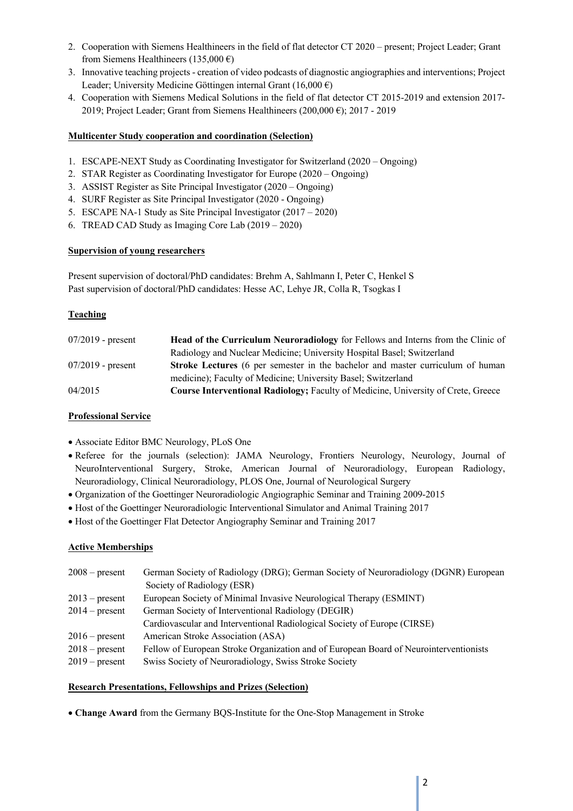- 2. Cooperation with Siemens Healthineers in the field of flat detector CT 2020 present; Project Leader; Grant from Siemens Healthineers (135,000 €)
- 3. Innovative teaching projects creation of video podcasts of diagnostic angiographies and interventions; Project Leader; University Medicine Göttingen internal Grant (16,000 €)
- 4. Cooperation with Siemens Medical Solutions in the field of flat detector CT 2015-2019 and extension 2017- 2019; Project Leader; Grant from Siemens Healthineers (200,000  $\epsilon$ ); 2017 - 2019

# **Multicenter Study cooperation and coordination (Selection)**

- 1. ESCAPE-NEXT Study as Coordinating Investigator for Switzerland (2020 Ongoing)
- 2. STAR Register as Coordinating Investigator for Europe (2020 Ongoing)
- 3. ASSIST Register as Site Principal Investigator (2020 Ongoing)
- 4. SURF Register as Site Principal Investigator (2020 Ongoing)
- 5. ESCAPE NA-1 Study as Site Principal Investigator (2017 2020)
- 6. TREAD CAD Study as Imaging Core Lab (2019 2020)

#### **Supervision of young researchers**

Present supervision of doctoral/PhD candidates: Brehm A, Sahlmann I, Peter C, Henkel S Past supervision of doctoral/PhD candidates: Hesse AC, Lehye JR, Colla R, Tsogkas I

# **Teaching**

| $07/2019$ - present | <b>Head of the Curriculum Neuroradiology</b> for Fellows and Interns from the Clinic of |
|---------------------|-----------------------------------------------------------------------------------------|
|                     | Radiology and Nuclear Medicine; University Hospital Basel; Switzerland                  |
| $07/2019$ - present | Stroke Lectures (6 per semester in the bachelor and master curriculum of human          |
|                     | medicine); Faculty of Medicine; University Basel; Switzerland                           |
| 04/2015             | Course Interventional Radiology; Faculty of Medicine, University of Crete, Greece       |

# **Professional Service**

- Associate Editor BMC Neurology, PLoS One
- Referee for the journals (selection): JAMA Neurology, Frontiers Neurology, Neurology, Journal of NeuroInterventional Surgery, Stroke, American Journal of Neuroradiology, European Radiology, Neuroradiology, Clinical Neuroradiology, PLOS One, Journal of Neurological Surgery
- Organization of the Goettinger Neuroradiologic Angiographic Seminar and Training 2009-2015
- Host of the Goettinger Neuroradiologic Interventional Simulator and Animal Training 2017
- Host of the Goettinger Flat Detector Angiography Seminar and Training 2017

#### **Active Memberships**

| $2008$ – present | German Society of Radiology (DRG); German Society of Neuroradiology (DGNR) European   |
|------------------|---------------------------------------------------------------------------------------|
|                  | Society of Radiology (ESR)                                                            |
| $2013$ – present | European Society of Minimal Invasive Neurological Therapy (ESMINT)                    |
| $2014$ – present | German Society of Interventional Radiology (DEGIR)                                    |
|                  | Cardiovascular and Interventional Radiological Society of Europe (CIRSE)              |
| $2016$ – present | American Stroke Association (ASA)                                                     |
| $2018$ – present | Fellow of European Stroke Organization and of European Board of Neurointerventionists |
| $2019$ – present | Swiss Society of Neuroradiology, Swiss Stroke Society                                 |
|                  |                                                                                       |

#### **Research Presentations, Fellowships and Prizes (Selection)**

• **Change Award** from the Germany BQS-Institute for the One-Stop Management in Stroke